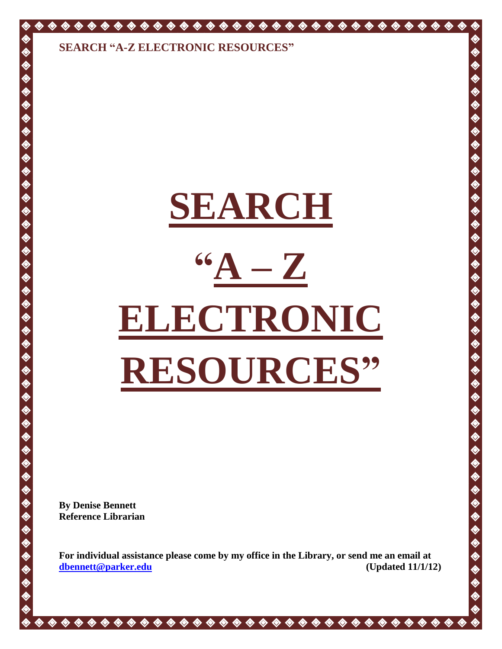◈

◈

 $\ddot{\diamond}$ 

**◆◆◆◆◆◆◆◆◆◆◆◆◆◆◆◆◆◆◆◆◆◆◆◆◆◆◆◆◆◆◆◆◆** 

 $\ddot{\bullet}$ ◈ ♦ ◈

 $\hat{\bullet}$ 

# **SEARCH "A – Z ELECTRONIC RESOURCES"**

**By Denise Bennett Reference Librarian**

**For individual assistance please come by my office in the Library, or send me an email at [dbennett@parker.edu](mailto:dbennett@parker.edu) (Updated 11/1/12)**

**\*\*\*\*\*\*\*\*\*\*\*\*\*\*\*\*\*\*\*\*\*\*\*\*\*\*\*\*\***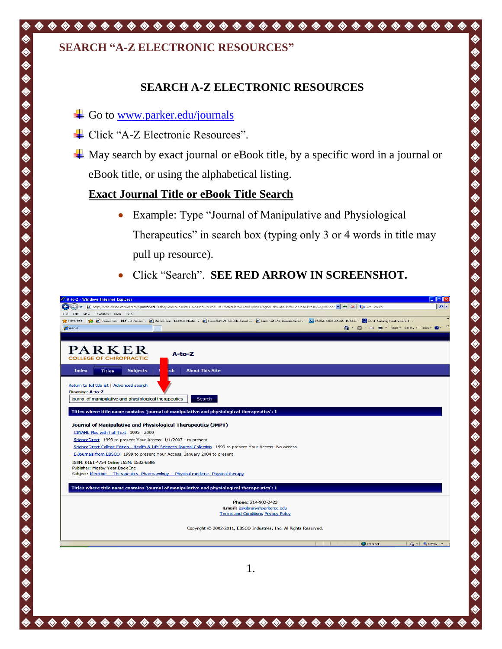## **SEARCH "A-Z ELECTRONIC RESOURCES"**

## **SEARCH A-Z ELECTRONIC RESOURCES**

Go to [www.parker.edu/journals](http://www.parker.edu/journals)

◈ ◈ ◈ ♦

◈

- Click "A-Z Electronic Resources".
- $\overline{\mathbf{A}}$  May search by exact journal or eBook title, by a specific word in a journal or eBook title, or using the alphabetical listing.

#### **Exact Journal Title or eBook Title Search**

 Example: Type "Journal of Manipulative and Physiological Therapeutics" in search box (typing only 3 or 4 words in title may pull up resource).

ゆめめめ

 $\ddot{\bullet}$ 

E<br>E

やめめめめめ

E<br>E

♦

E<br>E

Click "Search". **SEE RED ARROW IN SCREENSHOT.**

|                                                        | http://atoz.ebsco.com.ezproxy.parker.edu/Titles/SearchResults/1152?Find=journal+of+manipulative+and+physiological+therapeutics&GetResourcesBy=QuickSear v 4 > X   > x   0 Live Search                               | q                        |
|--------------------------------------------------------|---------------------------------------------------------------------------------------------------------------------------------------------------------------------------------------------------------------------|--------------------------|
| File<br>Edit<br>Favorites Tools Help<br><b>View</b>    |                                                                                                                                                                                                                     |                          |
|                                                        | ☆ Favorites   ☆ 2 Demco.com DEMCO Plastic 2 Demco.com DEMCO Plastic 2 Luxor® Double-Sided  2 Luxor® Double-Sided  M BARGE CHIROPRACTIC CLI 23 CCSF Catalog Health Care T<br>△ 5 · □ ● · Page · Safety · Tools · ● · |                          |
| A-to-Z                                                 |                                                                                                                                                                                                                     |                          |
|                                                        |                                                                                                                                                                                                                     |                          |
| $\texttt{PARENT}$                                      |                                                                                                                                                                                                                     |                          |
| <b>COLLEGE OF CHIROPRACTIC</b>                         | $A$ -to-Z                                                                                                                                                                                                           |                          |
|                                                        |                                                                                                                                                                                                                     |                          |
| <b>Index</b><br><b>Subjects</b><br><b>Titles</b>       | <b>About This Site</b><br>rch                                                                                                                                                                                       |                          |
|                                                        |                                                                                                                                                                                                                     |                          |
| Return to full title list   Advanced search            |                                                                                                                                                                                                                     |                          |
| Browsing: A-to-Z                                       |                                                                                                                                                                                                                     |                          |
| journal of manipulative and physiological therapeutics | Search                                                                                                                                                                                                              |                          |
|                                                        | Titles where title name contains 'journal of manipulative and physiological therapeutics': 1                                                                                                                        |                          |
|                                                        |                                                                                                                                                                                                                     |                          |
|                                                        | Journal of Manipulative and Physiological Therapeutics (JMPT)                                                                                                                                                       |                          |
| CINAHL Plus with Full Text 1995 - 2009                 |                                                                                                                                                                                                                     |                          |
|                                                        | ScienceDirect 1999 to present Your Access: 1/1/2007 - to present                                                                                                                                                    |                          |
|                                                        | ScienceDirect College Edition - Health & Life Sciences Journal Collection 1999 to present Your Access: No access                                                                                                    |                          |
|                                                        | E-Journals from EBSCO 1999 to present Your Access: January 2004 to present                                                                                                                                          |                          |
| ISSN: 0161-4754 Online ISSN: 1532-6586                 |                                                                                                                                                                                                                     |                          |
| Publisher: Mosby Year Book Inc                         | Subject: Medicine -- Therapeutics. Pharmacology -- Physical medicine. Physical therapy                                                                                                                              |                          |
|                                                        |                                                                                                                                                                                                                     |                          |
|                                                        | Titles where title name contains 'journal of manipulative and physiological therapeutics': 1                                                                                                                        |                          |
|                                                        |                                                                                                                                                                                                                     |                          |
|                                                        | Phone: 214-902-2423                                                                                                                                                                                                 |                          |
|                                                        | Email: askibrary@parkercc.edu<br><b>Terms and Conditions Privacy Policy</b>                                                                                                                                         |                          |
|                                                        |                                                                                                                                                                                                                     |                          |
|                                                        | Copyright © 2002-2011, EBSCO Industries, Inc. All Rights Reserved.                                                                                                                                                  |                          |
|                                                        |                                                                                                                                                                                                                     |                          |
|                                                        | <b>O</b> Internet                                                                                                                                                                                                   | $\frac{1}{2}$ - 2,125% - |
|                                                        |                                                                                                                                                                                                                     |                          |
|                                                        |                                                                                                                                                                                                                     |                          |
|                                                        |                                                                                                                                                                                                                     |                          |
|                                                        |                                                                                                                                                                                                                     |                          |
|                                                        | $\mathbf{1}$                                                                                                                                                                                                        |                          |
|                                                        |                                                                                                                                                                                                                     |                          |
|                                                        |                                                                                                                                                                                                                     |                          |
|                                                        |                                                                                                                                                                                                                     |                          |
|                                                        |                                                                                                                                                                                                                     |                          |
|                                                        |                                                                                                                                                                                                                     |                          |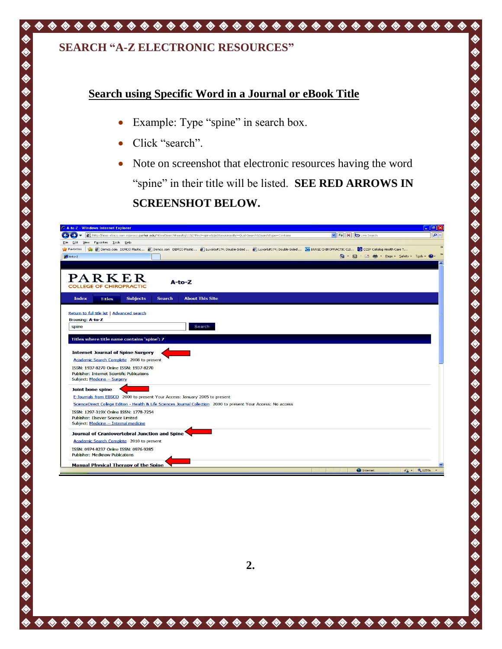## **SEARCH "A-Z ELECTRONIC RESOURCES"**

### **Search using Specific Word in a Journal or eBook Title**

- Example: Type "spine" in search box.
- Click "search".
- Note on screenshot that electronic resources having the word "spine" in their title will be listed. **SEE RED ARROWS IN SCREENSHOT BELOW.**

♦

 $\hat{\mathbf{\Diamond}}$ 

♦

♦  $\hat{\mathbf{\Diamond}}$ ◈

♦

 $\hat{\mathbf{\Diamond}}$ 

 $\hat{\bullet}$ ♦  $\hat{\mathbf{\Diamond}}$ ◈

| C A-to-Z - Windows Internet Explorer                                                                                                                                                                               |                                                                     | $ \sigma$ $\times$ |
|--------------------------------------------------------------------------------------------------------------------------------------------------------------------------------------------------------------------|---------------------------------------------------------------------|--------------------|
| http://atoz.ebsco.com.ezproxy.parker.edu/Titles/SearchResults/1152?Find=spine&GetResourcesBy=QuickSearch&SearchType=Contains                                                                                       | $\frac{1}{2}$ $\frac{1}{2}$ $\frac{1}{2}$ $\frac{1}{2}$ Live Search | ا م                |
| View Favorites Tools Help<br>Edit<br>File                                                                                                                                                                          |                                                                     |                    |
| 8 Cenco.com DEMCO Plastic 8 Demco.com DEMCO Plastic 8 Luxor8 #174; Double-Sided  8 Luxor8 #174; Double-Sided  W BARGE CHIROPRACTIC CLI 2 CCSF Catalog Health Care T<br>Favorites                                   |                                                                     | $\rightarrow$      |
| $A-to-Z$                                                                                                                                                                                                           | A 同 □ 曲 · Page · Safety · Tools · ●                                 |                    |
|                                                                                                                                                                                                                    |                                                                     |                    |
| PARKER<br>$A-to-Z$<br><b>COLLEGE OF CHIROPRACTIC</b>                                                                                                                                                               |                                                                     |                    |
| <b>About This Site</b><br><b>Index</b><br><b>Subjects</b><br><b>Search</b><br><b>Titles</b>                                                                                                                        |                                                                     |                    |
| Return to full title list   Advanced search<br>Browsing: A-to-Z<br>Search<br>spine<br>Titles where title name contains 'spine': 7<br><b>Internet Journal of Spine Surgery</b>                                      |                                                                     |                    |
| Academic Search Complete 2008 to present<br>ISSN: 1937-8270 Online ISSN: 1937-8270<br><b>Publisher: Internet Scientific Publications</b><br>Subject: Medicine -- Surgery                                           |                                                                     |                    |
| Joint bone spine<br>E-Journals from EBSCO 2000 to present Your Access: January 2005 to present<br>ScienceDirect College Edition - Health & Life Sciences Journal Collection 2000 to present Your Access: No access |                                                                     |                    |
| ISSN: 1297-319X Online ISSN: 1778-7254<br><b>Publisher: Elsevier Science Limited</b><br>Subject: Medicine -- Internal medicine                                                                                     |                                                                     |                    |
| Journal of Craniovertebral Junction and Spine                                                                                                                                                                      |                                                                     |                    |
| Academic Search Complete 2010 to present                                                                                                                                                                           |                                                                     |                    |
| ISSN: 0974-8237 Online ISSN: 0976-9285<br><b>Publisher: Medknow Publications</b>                                                                                                                                   |                                                                     |                    |
| <b>Manual Physical Therapy of the Spine</b>                                                                                                                                                                        |                                                                     |                    |
|                                                                                                                                                                                                                    | <b>O</b> Internet                                                   | $\bigcirc$ - 2125% |

................................